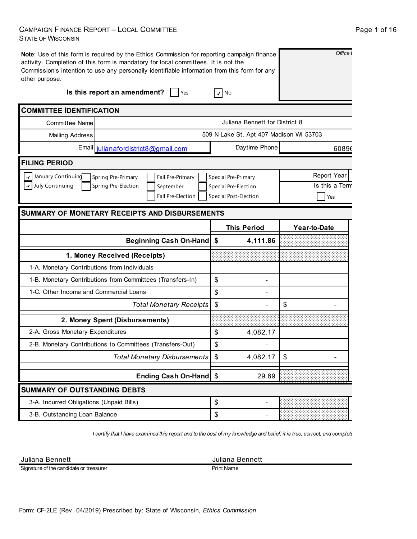### CAMPAIGN FINANCE REPORT – LOCAL COMMITTEE STATE OF WISCONSIN

| other purpose.                           | Note: Use of this form is required by the Ethics Commission for reporting campaign finance<br>activity. Completion of this form is mandatory for local committees. It is not the<br>Commission's intention to use any personally identifiable information from this form for any |                                         | Office I           |
|------------------------------------------|----------------------------------------------------------------------------------------------------------------------------------------------------------------------------------------------------------------------------------------------------------------------------------|-----------------------------------------|--------------------|
|                                          | Is this report an amendment?<br><b>Yes</b>                                                                                                                                                                                                                                       | $\boldsymbol{v}$ No                     |                    |
| <b>COMMITTEE IDENTIFICATION</b>          |                                                                                                                                                                                                                                                                                  |                                         |                    |
| <b>Committee Name</b>                    |                                                                                                                                                                                                                                                                                  | Juliana Bennett for District 8          |                    |
| <b>Mailing Address</b>                   |                                                                                                                                                                                                                                                                                  | 509 N Lake St, Apt 407 Madison WI 53703 |                    |
|                                          | Email julianafordistrict8@gmail.com                                                                                                                                                                                                                                              | Daytime Phone                           | 60896              |
| <b>FILING PERIOD</b>                     |                                                                                                                                                                                                                                                                                  |                                         |                    |
| January Continuing                       | Spring Pre-Primary<br>Fall Pre-Primary                                                                                                                                                                                                                                           | Special Pre-Primary                     | <b>Report Year</b> |
| July Continuing                          | Spring Pre-Election<br>September                                                                                                                                                                                                                                                 | Special Pre-Election                    | Is this a Term     |
|                                          | Fall Pre-Election                                                                                                                                                                                                                                                                | Special Post-Election                   | Yes                |
|                                          | <b>SUMMARY OF MONETARY RECEIPTS AND DISBURSEMENTS</b>                                                                                                                                                                                                                            |                                         |                    |
|                                          |                                                                                                                                                                                                                                                                                  | <b>This Period</b>                      | Year-to-Date       |
|                                          | <b>Beginning Cash On-Hand</b>                                                                                                                                                                                                                                                    | \$<br>4,111.86                          |                    |
|                                          | 1. Money Received (Receipts)                                                                                                                                                                                                                                                     |                                         |                    |
|                                          | 1-A. Monetary Contributions from Individuals                                                                                                                                                                                                                                     |                                         |                    |
|                                          | 1-B. Monetary Contributions from Committees (Transfers-In)                                                                                                                                                                                                                       | \$                                      |                    |
| 1-C. Other Income and Commercial Loans   |                                                                                                                                                                                                                                                                                  | \$                                      |                    |
|                                          | <b>Total Monetary Receipts</b>                                                                                                                                                                                                                                                   | \$                                      | \$                 |
|                                          | 2. Money Spent (Disbursements)                                                                                                                                                                                                                                                   |                                         |                    |
| 2-A. Gross Monetary Expenditures         |                                                                                                                                                                                                                                                                                  | \$<br>4,082.17                          |                    |
|                                          | 2-B. Monetary Contributions to Committees (Transfers-Out)                                                                                                                                                                                                                        | \$                                      |                    |
|                                          | Total Monetary Disbursements                                                                                                                                                                                                                                                     | \$<br>4,082.17                          | \$                 |
|                                          | Ending Cash On-Hand   \$                                                                                                                                                                                                                                                         | 29.69                                   |                    |
| <b>SUMMARY OF OUTSTANDING DEBTS</b>      |                                                                                                                                                                                                                                                                                  |                                         |                    |
|                                          |                                                                                                                                                                                                                                                                                  |                                         |                    |
| 3-A. Incurred Obligations (Unpaid Bills) |                                                                                                                                                                                                                                                                                  | \$                                      |                    |

*I certify that I have examined this report and to the best of my knowledge and belief, it is true, correct, and complete.*

Juliana Bennett **Juliana Bennett** 

Signature of the candidate or treasurer

Print Name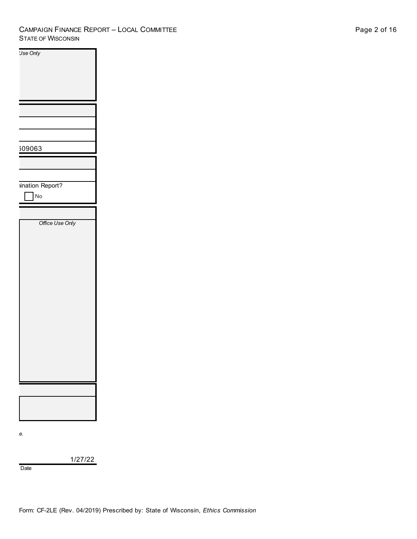### CAMPAIGN FINANCE REPORT – LOCAL COMMITTEE STATE OF WISCONSIN

| <b>Jse Only</b> |  |
|-----------------|--|
|                 |  |
|                 |  |
|                 |  |
|                 |  |
|                 |  |
|                 |  |
|                 |  |
|                 |  |
|                 |  |
|                 |  |
|                 |  |
|                 |  |
|                 |  |
|                 |  |
|                 |  |
|                 |  |
| 309063          |  |
|                 |  |
|                 |  |
|                 |  |
|                 |  |
|                 |  |
|                 |  |
| ination Report? |  |
|                 |  |
| No              |  |
|                 |  |
|                 |  |
|                 |  |
|                 |  |
| Office Use Only |  |
|                 |  |
|                 |  |
|                 |  |
|                 |  |
|                 |  |
|                 |  |
|                 |  |
|                 |  |
|                 |  |
|                 |  |
|                 |  |
|                 |  |
|                 |  |
|                 |  |
|                 |  |
|                 |  |
|                 |  |
|                 |  |
|                 |  |
|                 |  |
|                 |  |
|                 |  |
|                 |  |
|                 |  |
|                 |  |
|                 |  |
|                 |  |
|                 |  |
|                 |  |
|                 |  |
|                 |  |
|                 |  |
|                 |  |
|                 |  |
|                 |  |
|                 |  |
|                 |  |

*I certify that I have examined this report and to the best of my knowledge and belief, it is true, correct, and complete.*

1/27/22

Date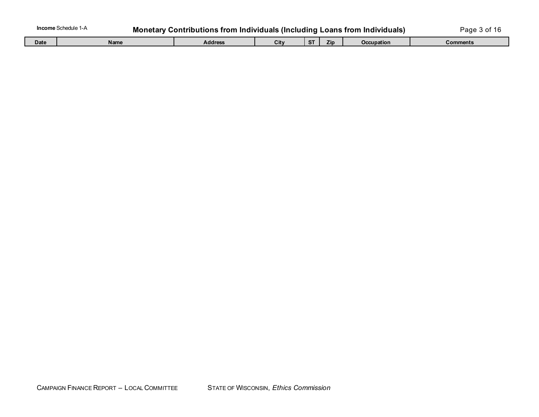|     | / Contributions from Individuals (Including Loans from Individu<br>.rarv |  | 'aαe   |        |  |  |  |
|-----|--------------------------------------------------------------------------|--|--------|--------|--|--|--|
| - - |                                                                          |  | $\sim$ | $\sim$ |  |  |  |

| Date | <b>Name</b> | <b>Addres</b> | €it∨ | ∠in | Occupation | Comments |
|------|-------------|---------------|------|-----|------------|----------|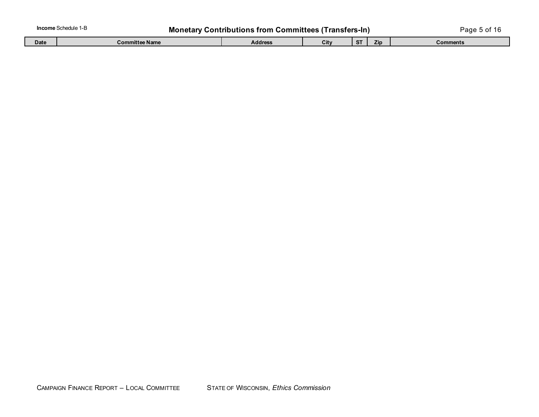| <b>Income</b> Schedule 1-B<br><b>Monetary Contributions from Committees (Transfers-In)</b> |                |                |      |  | Page 5 of |          |
|--------------------------------------------------------------------------------------------|----------------|----------------|------|--|-----------|----------|
| <b>Date</b>                                                                                | ∶ommittee Name | <b>Address</b> | City |  | Zip       | ;omments |

Г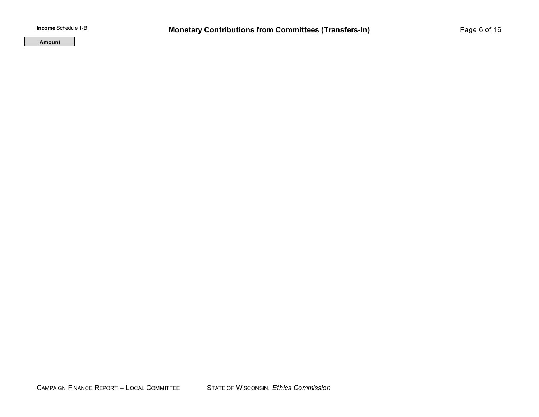**Amount**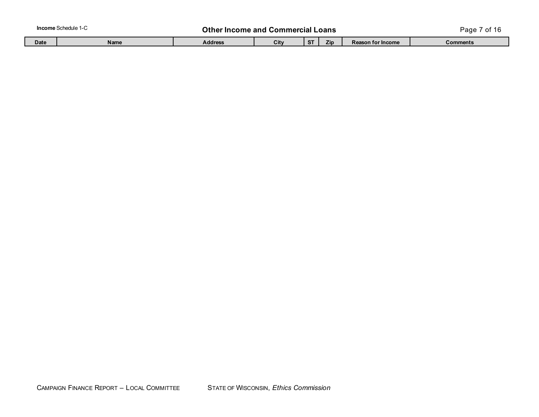**In the Income and Commercial Loans Commercial Loans Page 7 of 16** 

| Date | Name | <b>Address</b> | --<br>u | 410 | <b>Reason for Income</b> | <b>Comments</b> |
|------|------|----------------|---------|-----|--------------------------|-----------------|
|      |      |                |         |     |                          |                 |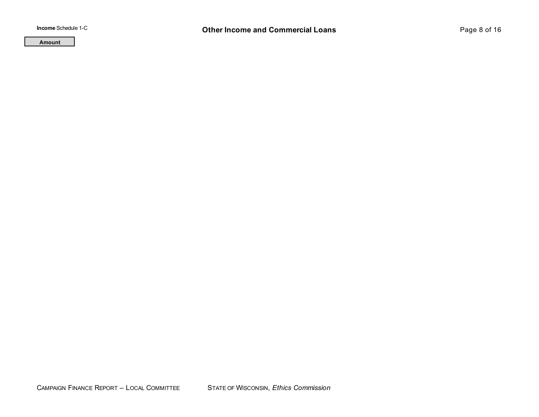**Amount**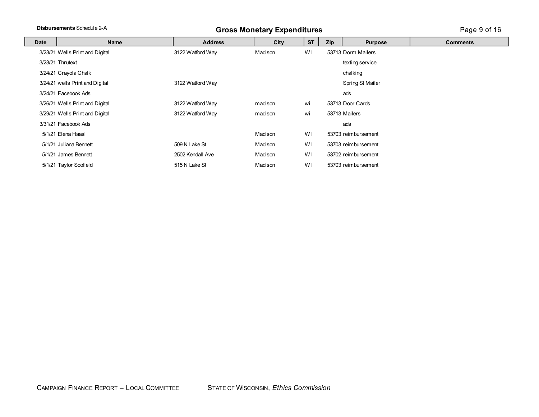# **Disbursements** Schedule 2-A **Gross Monetary Expenditures** Page 9 of 16

| Date | Name                            | <b>Address</b>   | City    | <b>ST</b> | Zip<br><b>Purpose</b> |                     | <b>Comments</b> |
|------|---------------------------------|------------------|---------|-----------|-----------------------|---------------------|-----------------|
|      | 3/23/21 Wells Print and Digital | 3122 Watford Way | Madison | WI        |                       | 53713 Dorm Mailers  |                 |
|      | 3/23/21 Thrutext                |                  |         |           |                       | texting service     |                 |
|      | 3/24/21 Crayola Chalk           |                  |         |           |                       | chalking            |                 |
|      | 3/24/21 wells Print and Digital | 3122 Watford Way |         |           |                       | Spring St Mailer    |                 |
|      | 3/24/21 Facebook Ads            |                  |         |           |                       | ads                 |                 |
|      | 3/26/21 Wells Print and Digital | 3122 Watford Way | madison | wi        |                       | 53713 Door Cards    |                 |
|      | 3/29/21 Wells Print and Digital | 3122 Watford Way | madison | wi        |                       | 53713 Mailers       |                 |
|      | 3/31/21 Facebook Ads            |                  |         |           |                       | ads                 |                 |
|      | 5/1/21 Elena Haasl              |                  | Madison | WI        |                       | 53703 reimbursement |                 |
|      | 5/1/21 Juliana Bennett          | 509 N Lake St    | Madison | WI        |                       | 53703 reimbursement |                 |
|      | 5/1/21 James Bennett            | 2502 Kendall Ave | Madison | WI        |                       | 53702 reimbursement |                 |
|      | 5/1/21 Taylor Scofield          | 515 N Lake St    | Madison | WI        |                       | 53703 reimbursement |                 |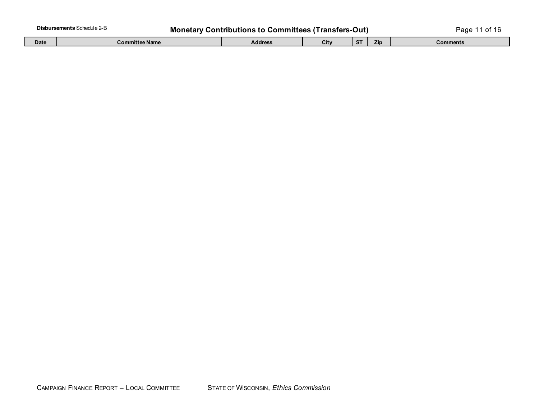| <b>Disbursements Schedule 2-B</b><br><b>Monetary</b><br>ˈTransters-Out)<br>. Contributions to Committees ( $^\tau$ |                |         |      |        |     | aae?     |
|--------------------------------------------------------------------------------------------------------------------|----------------|---------|------|--------|-----|----------|
| <b>Date</b>                                                                                                        | Committee Name | Address | City | $\sim$ | Zip | Comments |

| Date | . .<br>e Name<br>Committee | Address. | √itv. | Zin | Comments |
|------|----------------------------|----------|-------|-----|----------|
|      |                            |          |       |     |          |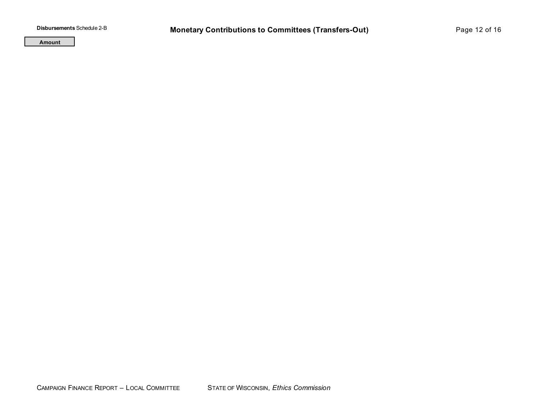**Amount**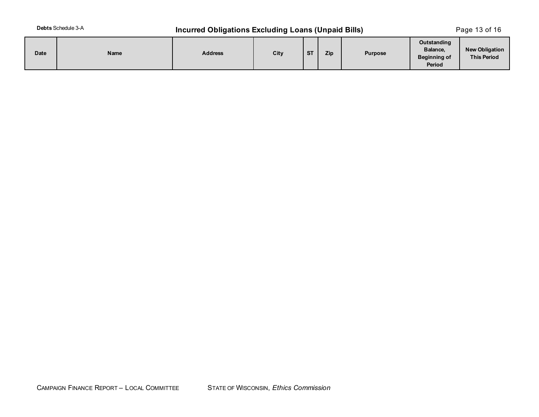## **Debts** Schedule 3-A **Incurred Obligations Excluding Loans (Unpaid Bills)** Page 13 of 16

| Date | Name | <b>Address</b> | City | $c_{T}$<br>$\mathbf{v}$ | Zip | <b>Purpose</b> | Outstanding<br>Balance,<br><b>Beginning of</b><br>Period | <b>New Obligation</b><br><b>This Period</b> |
|------|------|----------------|------|-------------------------|-----|----------------|----------------------------------------------------------|---------------------------------------------|
|------|------|----------------|------|-------------------------|-----|----------------|----------------------------------------------------------|---------------------------------------------|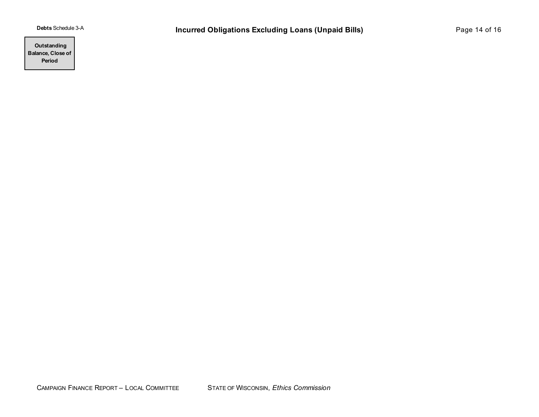**Outstanding Balance, Close of Period**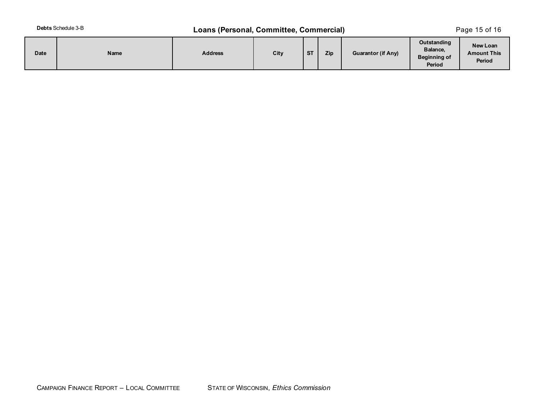## **Debts** Schedule 3-B **Loans (Personal, Committee, Commercial)** Page 15 of 16

| Date | Name | <b>Address</b> | City | <b>ST</b> | Zip | <b>Guarantor (if Any)</b> | Outstanding<br>Balance,<br><b>Beginning of</b><br>Period | New Loan<br><b>Amount This</b><br>Period |
|------|------|----------------|------|-----------|-----|---------------------------|----------------------------------------------------------|------------------------------------------|
|------|------|----------------|------|-----------|-----|---------------------------|----------------------------------------------------------|------------------------------------------|